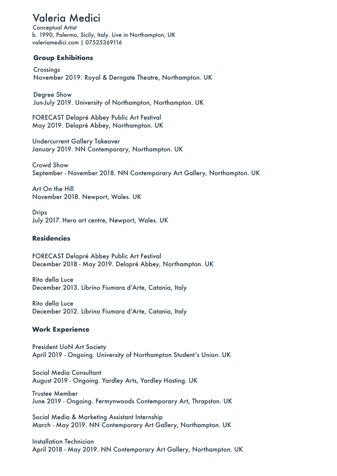# Valeria Medici

Conceptual Artist b. 1990, Palermo, Sicily, Italy. Live in Northampton, UK valeriamedici.com | 07525369116

### **Group Exhibitions**

Crossings November 2019. Royal & Derngate Theatre, Northampton. UK

Degree Show Jun-July 2019. University of Northampton, Northampton. UK

FORECAST Delapré Abbey Public Art Festival May 2019. Delapré Abbey, Northampton. UK

Undercurrent Gallery Takeover January 2019. NN Contemporary, Northampton. UK

Crowd Show September - November 2018. NN Contemporary Art Gallery, Northampton. UK

Art On the Hill November 2018. Newport, Wales. UK

**Drips** July 2017. Hera art centre, Newport, Wales. UK

### **Residencies**

FORECAST Delapré Abbey Public Art Festival December 2018 - May 2019. Delapré Abbey, Northampton. UK

Rito della Luce December 2013. Librino Fiumara d'Arte, Catania, Italy

Rito della Luce December 2012. Librino Fiumara d'Arte, Catania, Italy

## **Work Experience**

President UoN Art Society April 2019 - Ongoing. University of Northampton Student's Union. UK

Social Media Consultant August 2019 - Ongoing. Yardley Arts, Yardley Hasting. UK

Trustee Member June 2019 - Ongoing. Fermynwoods Contemporary Art, Thrapston. UK

Social Media & Marketing Assistant Internship March - May 2019. NN Contemporary Art Gallery, Northampton. UK

Installation Technician April 2018 - May 2019. NN Contemporary Art Gallery, Northampton. UK